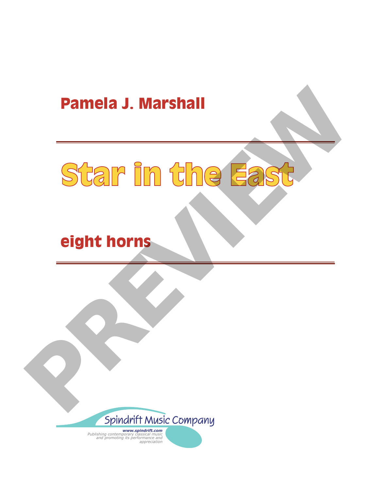# Pamela J. Marshall

# Star in the East Pamela J. Marshall<br>
Star in the East<br>
eight horns<br>
and the Cast<br>
Containers<br>
Containers<br>
Containers<br>
Containers<br>
Containers<br>
Containers<br>
Containers<br>
Containers<br>
Containers<br>
Containers<br>
Containers<br>
Containers<br>
Containers<br>
C

## eight horns

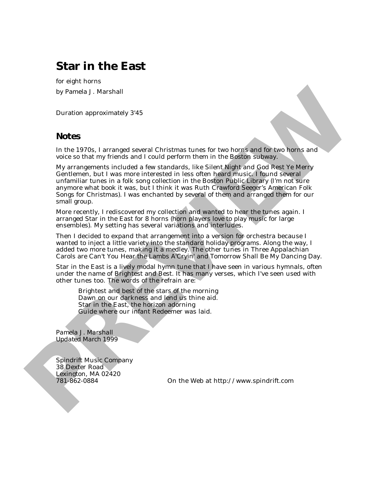### **Star in the East**

for eight horns by Pamela J. Marshall

Duration approximately 3'45

### **Notes**

In the 1970s, I arranged several Christmas tunes for two horns and for two horns and voice so that my friends and I could perform them in the Boston subway.

My arrangements included a few standards, like Silent Night and God Rest Ye Merry Gentlemen, but I was more interested in less often heard music. I found several unfamiliar tunes in a folk song collection in the Boston Public Library (I'm not sure anymore what book it was, but I think it was Ruth Crawford Seeger's American Folk Songs for Christmas). I was enchanted by several of them and arranged them for our small group. For eight horses and Marshall<br> **Properties A**. Marshall<br> **PREVIEW SET ASSOCIATE A** Consider the state of the state of the state of the state of the state of the state of the state of the state of the state of the state of

More recently, I rediscovered my collection and wanted to hear the tunes again. I arranged Star in the East for 8 horns (horn players love to play music for large ensembles). My setting has several variations and interludes.

Then I decided to expand that arrangement into a version for orchestra because I wanted to inject a little variety into the standard holiday programs. Along the way, I added two more tunes, making it a medley. The other tunes in Three Appalachian Carols are Can't You Hear the Lambs A'Cryin' and Tomorrow Shall Be My Dancing Day.

Star in the East is a lively modal hymn tune that I have seen in various hymnals, often under the name of Brightest and Best. It has many verses, which I've seen used with other tunes too. The words of the refrain are:

Brightest and best of the stars of the morning Dawn on our darkness and lend us thine aid. Star in the East, the horizon adorning Guide where our infant Redeemer was laid.

*Pamela J. Marshall Updated March 1999*

Spindrift Music Company 38 Dexter Road Lexington, MA 02420

On the Web at http://www.spindrift.com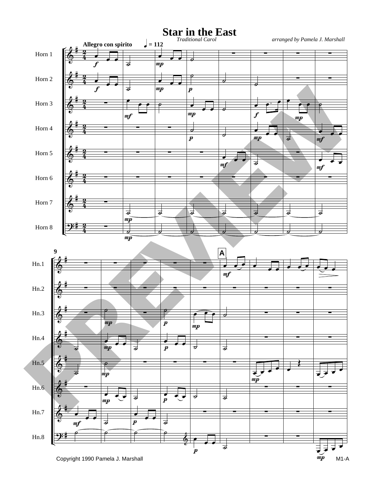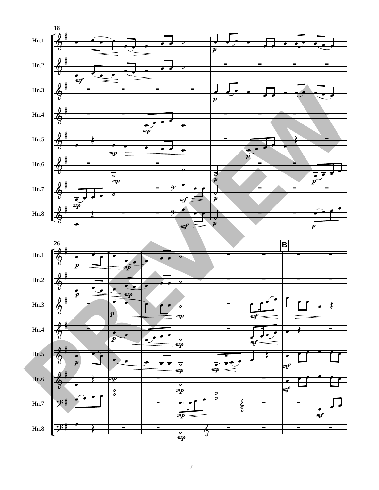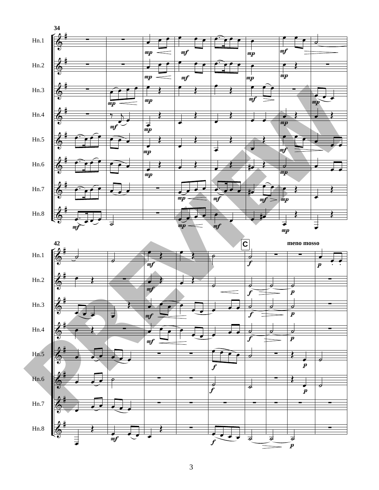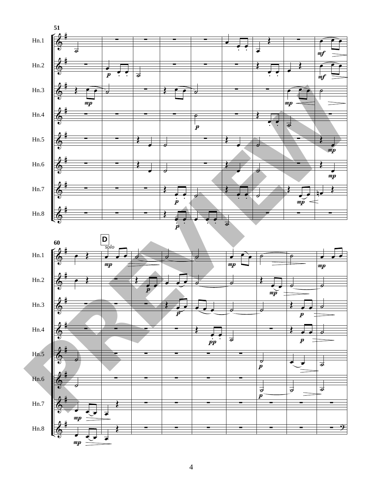

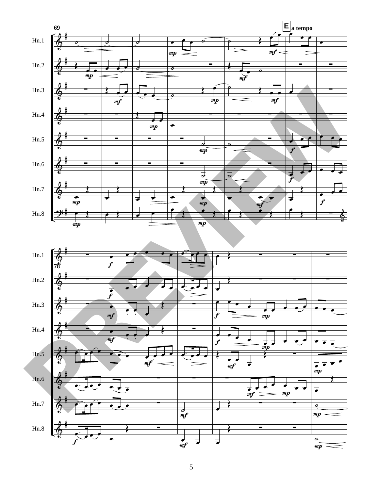

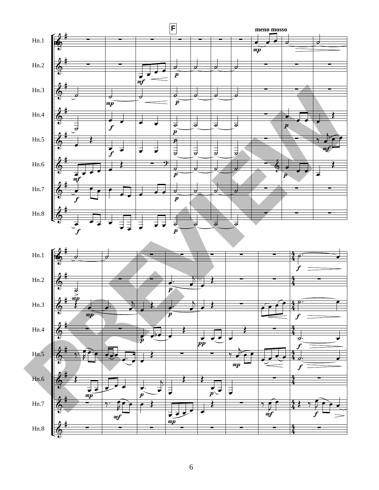

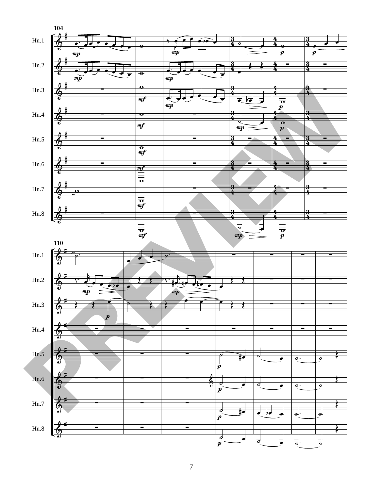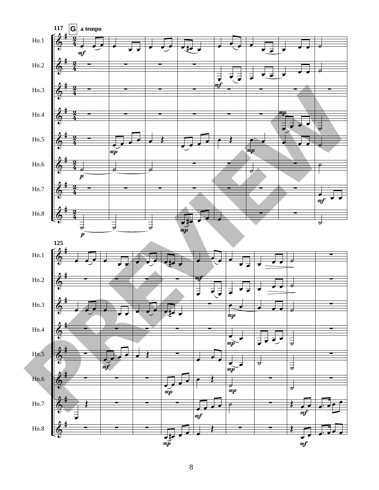



 $m f$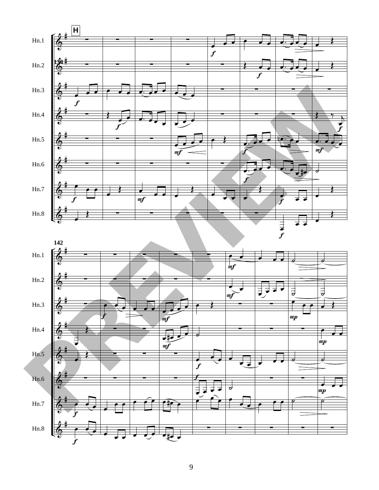

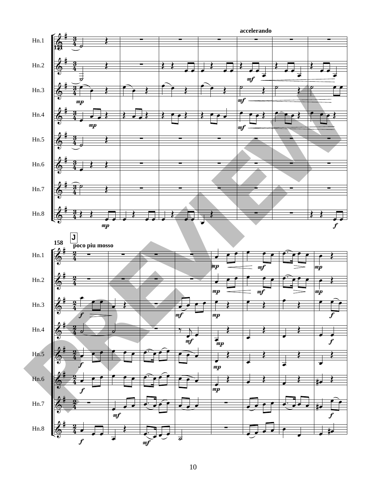